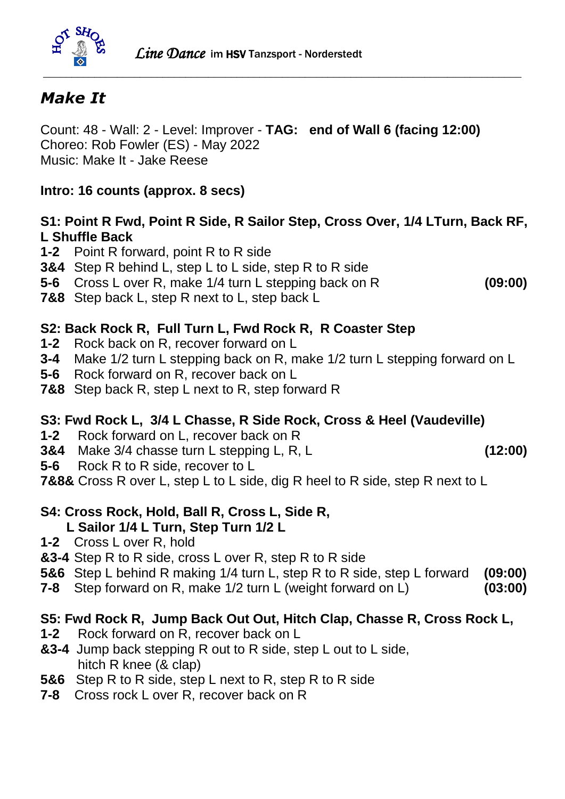

# *Make It*

Count: 48 - Wall: 2 - Level: Improver - **TAG: end of Wall 6 (facing 12:00)** Choreo: Rob Fowler (ES) - May 2022 Music: Make It - Jake Reese

### **Intro: 16 counts (approx. 8 secs)**

### **S1: Point R Fwd, Point R Side, R Sailor Step, Cross Over, 1/4 LTurn, Back RF, L Shuffle Back**

- **1-2** Point R forward, point R to R side
- **3&4** Step R behind L, step L to L side, step R to R side
- **5-6** Cross L over R, make 1/4 turn L stepping back on R **(09:00)**
- **7&8** Step back L, step R next to L, step back L

## **S2: Back Rock R, Full Turn L, Fwd Rock R, R Coaster Step**

- **1-2** Rock back on R, recover forward on L
- **3-4** Make 1/2 turn L stepping back on R, make 1/2 turn L stepping forward on L
- **5-6** Rock forward on R, recover back on L
- **7&8** Step back R, step L next to R, step forward R

### **S3: Fwd Rock L, 3/4 L Chasse, R Side Rock, Cross & Heel (Vaudeville)**

- **1-2** Rock forward on L, recover back on R
- **3&4** Make 3/4 chasse turn L stepping L, R, L **(12:00)**
- **5-6** Rock R to R side, recover to L
- **7&8&** Cross R over L, step L to L side, dig R heel to R side, step R next to L

#### **S4: Cross Rock, Hold, Ball R, Cross L, Side R, L Sailor 1/4 L Turn, Step Turn 1/2 L**

- **1-2** Cross L over R, hold
- **&3-4** Step R to R side, cross L over R, step R to R side
- **5&6** Step L behind R making 1/4 turn L, step R to R side, step L forward **(09:00)**
- **7-8** Step forward on R, make 1/2 turn L (weight forward on L) **(03:00)**

### **S5: Fwd Rock R, Jump Back Out Out, Hitch Clap, Chasse R, Cross Rock L,**

- **1-2** Rock forward on R, recover back on L
- **&3-4** Jump back stepping R out to R side, step L out to L side, hitch R knee (& clap)
- **5&6** Step R to R side, step L next to R, step R to R side
- **7-8** Cross rock L over R, recover back on R